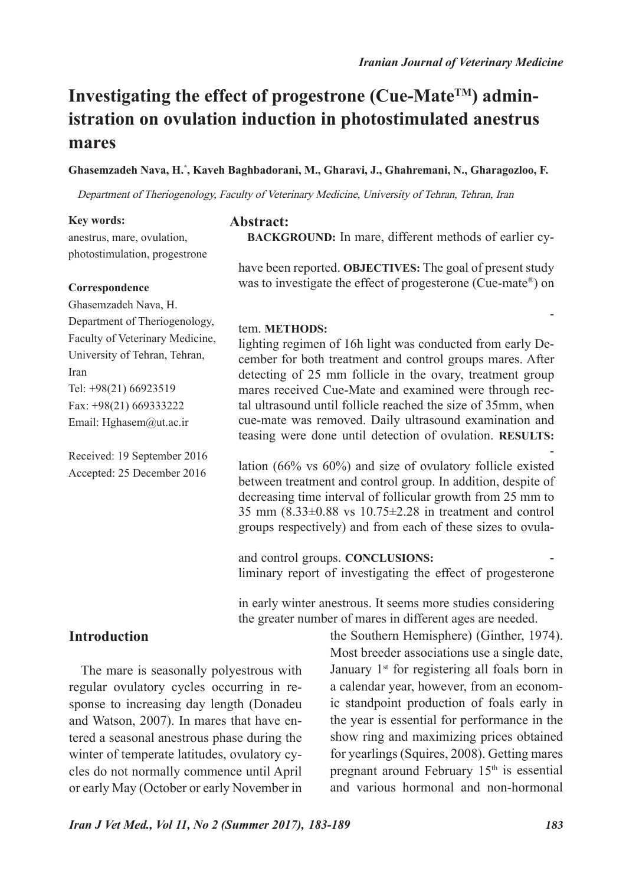# **Investigating the effect of progestrone (Cue-MateTM) administration on ovulation induction in photostimulated anestrus mares**

**Ghasemzadeh Nava, H.\* , Kaveh Baghbadorani, M., Gharavi, J., Ghahremani, N., Gharagozloo, F.** 

Department of Theriogenology, Faculty of Veterinary Medicine, University of Tehran, Tehran, Iran

#### **Key words:**

anestrus, mare, ovulation, photostimulation, progestrone

#### **Correspondence**

Ghasemzadeh Nava, H. Department of Theriogenology, Faculty of Veterinary Medicine, University of Tehran, Tehran, Iran Tel: +98(21) 66923519 Fax: +98(21) 669333222 Email: Hghasem@ut.ac.ir

Received: 19 September 2016 Accepted: 25 December 2016

#### **Abstract:**

**BACKGROUND:** In mare, different methods of earlier cyclicity induction and hastening first ovulation of the year have been reported. **OBJECTIVES:** The goal of present study was to investigate the effect of progesterone (Cue-mate®) on synchronization and acceleration of the frst ovulation of the year in winter anestrous mares under artificial lighting system. **METHODS:** After detection of anestrus mares, artificial lighting regimen of 16h light was conducted from early December for both treatment and control groups mares. After detecting of 25 mm follicle in the ovary, treatment group mares received Cue-Mate and examined were through rectal ultrasound until follicle reached the size of 35mm, when cue-mate was removed. Daily ultrasound examination and teasing were done until detection of ovulation. **RESULTS:**  Based on our results, no significant difference in rate of ovulation (66% vs 60%) and size of ovulatory follicle existed between treatment and control group. In addition, despite of decreasing time interval of follicular growth from 25 mm to 35 mm (8.33±0.88 vs 10.75±2.28 in treatment and control groups respectively) and from each of these sizes to ovulation size, no significant difference existed between treatment and control groups. **CONCLUSIONS:** This was the first preliminary report of investigating the effect of progesterone plus artificial lighting on hastening frst ovulation of the year in early winter anestrous. It seems more studies considering the greater number of mares in different ages are needed.

## **Introduction**

The mare is seasonally polyestrous with regular ovulatory cycles occurring in response to increasing day length (Donadeu and Watson, 2007). In mares that have entered a seasonal anestrous phase during the winter of temperate latitudes, ovulatory cycles do not normally commence until April or early May (October or early November in

the Southern Hemisphere) (Ginther, 1974). Most breeder associations use a single date, January 1<sup>st</sup> for registering all foals born in a calendar year, however, from an economic standpoint production of foals early in the year is essential for performance in the show ring and maximizing prices obtained for yearlings (Squires, 2008). Getting mares pregnant around February  $15<sup>th</sup>$  is essential and various hormonal and non-hormonal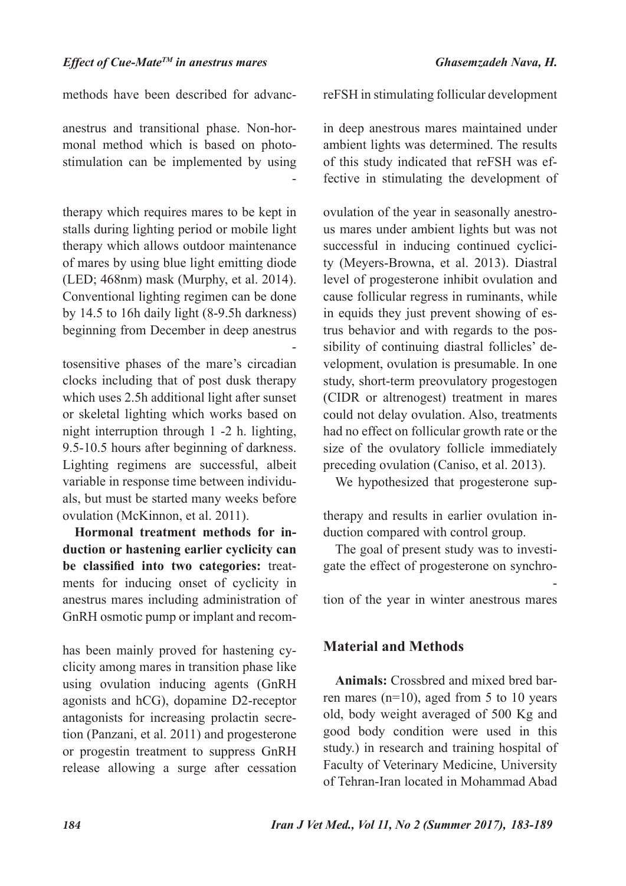methods have been described for advancing first ovulatory cycle of mares in both anestrus and transitional phase. Non-hormonal method which is based on photostimulation can be implemented by using various artificial lighting procedures including: Indoor conventional and modifed light therapy which requires mares to be kept in stalls during lighting period or mobile light therapy which allows outdoor maintenance of mares by using blue light emitting diode (LED; 468nm) mask (Murphy, et al. 2014). Conventional lighting regimen can be done by 14.5 to 16h daily light (8-9.5h darkness) beginning from December in deep anestrus mares. Modifed light regimens use photosensitive phases of the mare's circadian clocks including that of post dusk therapy which uses 2.5h additional light after sunset or skeletal lighting which works based on night interruption through 1 -2 h. lighting, 9.5-10.5 hours after beginning of darkness. Lighting regimens are successful, albeit variable in response time between individuals, but must be started many weeks before ovulation (McKinnon, et al. 2011).

**Hormonal treatment methods for induction or hastening earlier cyclicity can be classified into two categories:** treatments for inducing onset of cyclicity in anestrus mares including administration of GnRH osmotic pump or implant and recombinant LH and FSH or those whose effcacy has been mainly proved for hastening cyclicity among mares in transition phase like using ovulation inducing agents (GnRH agonists and hCG), dopamine D2-receptor antagonists for increasing prolactin secretion (Panzani, et al. 2011) and progesterone or progestin treatment to suppress GnRH release allowing a surge after cessation of treatment (Squires, 2008). Efficacy of

reFSH in stimulating follicular development and advancing the first ovulation of the year in deep anestrous mares maintained under ambient lights was determined. The results of this study indicated that reFSH was effective in stimulating the development of ovarian follicles and advancing the first ovulation of the year in seasonally anestrous mares under ambient lights but was not successful in inducing continued cyclicity (Meyers-Browna, et al. 2013). Diastral level of progesterone inhibit ovulation and cause follicular regress in ruminants, while in equids they just prevent showing of estrus behavior and with regards to the possibility of continuing diastral follicles' development, ovulation is presumable. In one study, short-term preovulatory progestogen (CIDR or altrenogest) treatment in mares could not delay ovulation. Also, treatments had no effect on follicular growth rate or the size of the ovulatory follicle immediately preceding ovulation (Caniso, et al. 2013).

We hypothesized that progesterone supplementation increase effciency of lighting therapy and results in earlier ovulation induction compared with control group.

The goal of present study was to investigate the effect of progesterone on synchronization and acceleration of the first ovulation of the year in winter anestrous mares under artificial lighting system.

## **Material and Methods**

**Animals:** Crossbred and mixed bred barren mares  $(n=10)$ , aged from 5 to 10 years old, body weight averaged of 500 Kg and good body condition were used in this study.) in research and training hospital of Faculty of Veterinary Medicine, University of Tehran-Iran located in Mohammad Abad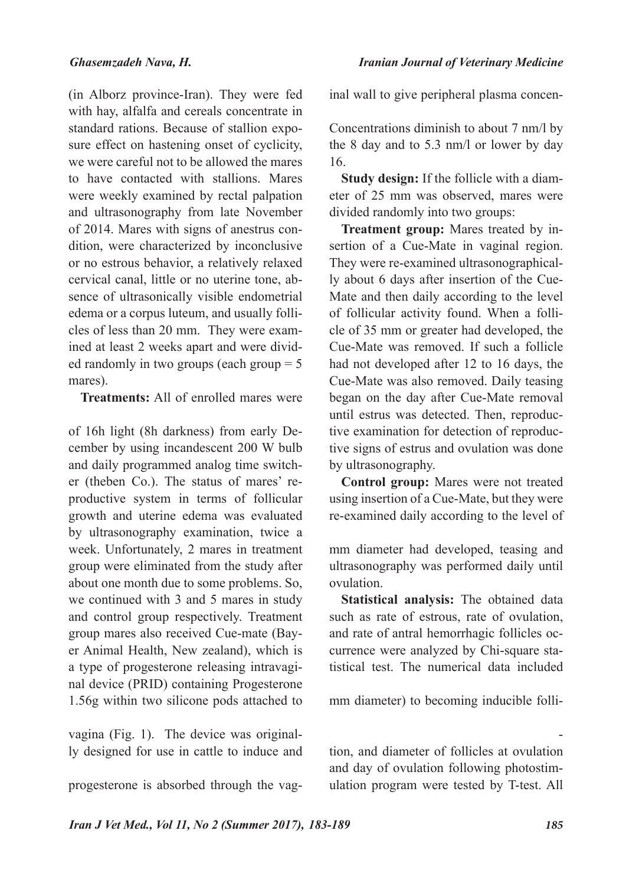(in Alborz province-Iran). They were fed with hay, alfalfa and cereals concentrate in standard rations. Because of stallion exposure effect on hastening onset of cyclicity, we were careful not to be allowed the mares to have contacted with stallions. Mares were weekly examined by rectal palpation and ultrasonography from late November of 2014. Mares with signs of anestrus condition, were characterized by inconclusive or no estrous behavior, a relatively relaxed cervical canal, little or no uterine tone, absence of ultrasonically visible endometrial edema or a corpus luteum, and usually follicles of less than 20 mm. They were examined at least 2 weeks apart and were divided randomly in two groups (each group = 5 mares).

**Treatments:** All of enrolled mares were exposed daily to artificial lighting regimens of 16h light (8h darkness) from early December by using incandescent 200 W bulb and daily programmed analog time switcher (theben Co.). The status of mares' reproductive system in terms of follicular growth and uterine edema was evaluated by ultrasonography examination, twice a week. Unfortunately, 2 mares in treatment group were eliminated from the study after about one month due to some problems. So, we continued with 3 and 5 mares in study and control group respectively. Treatment group mares also received Cue-mate (Bayer Animal Health, New zealand), which is a type of progesterone releasing intravaginal device (PRID) containing Progesterone 1.56g within two silicone pods attached to a fexible 'wishbone' for insertion into the vagina (Fig. 1). The device was originally designed for use in cattle to induce and synchronize estrus. In the mare, suffcient progesterone is absorbed through the vag-

inal wall to give peripheral plasma concentrations above 10.5 nm/l for the first 4 days. Concentrations diminish to about 7 nm/l by the 8 day and to 5.3 nm/l or lower by day 16.

**Study design:** If the follicle with a diameter of 25 mm was observed, mares were divided randomly into two groups:

**Treatment group:** Mares treated by insertion of a Cue-Mate in vaginal region. They were re-examined ultrasonographically about 6 days after insertion of the Cue-Mate and then daily according to the level of follicular activity found. When a follicle of 35 mm or greater had developed, the Cue-Mate was removed. If such a follicle had not developed after 12 to 16 days, the Cue-Mate was also removed. Daily teasing began on the day after Cue-Mate removal until estrus was detected. Then, reproductive examination for detection of reproductive signs of estrus and ovulation was done by ultrasonography.

**Control group:** Mares were not treated using insertion of a Cue-Mate, but they were re-examined daily according to the level of follicular activity. When a follicle with 35 mm diameter had developed, teasing and ultrasonography was performed daily until ovulation.

**Statistical analysis:** The obtained data such as rate of estrous, rate of ovulation, and rate of antral hemorrhagic follicles occurrence were analyzed by Chi-square statistical test. The numerical data included time interval from size of deviation ( $\approx$  20 mm diameter) to becoming inducible follicle (≈ 35 mm), time interval from gaining capability of ovulation (≈ 35 mm) to ovulation, and diameter of follicles at ovulation and day of ovulation following photostimulation program were tested by T-test. All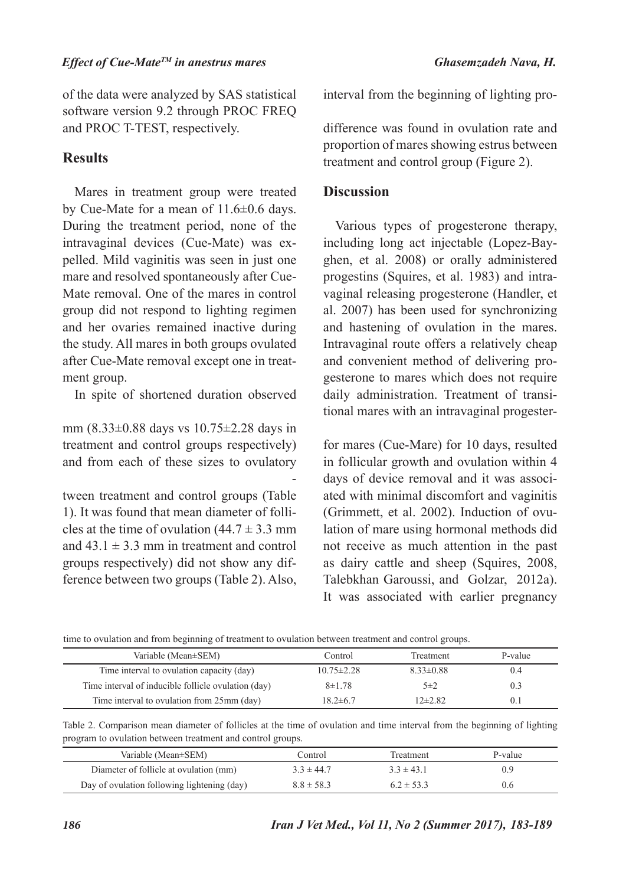of the data were analyzed by SAS statistical software version 9.2 through PROC FREQ and PROC T-TEST, respectively.

# **Results**

Mares in treatment group were treated by Cue-Mate for a mean of 11.6±0.6 days. During the treatment period, none of the intravaginal devices (Cue-Mate) was expelled. Mild vaginitis was seen in just one mare and resolved spontaneously after Cue-Mate removal. One of the mares in control group did not respond to lighting regimen and her ovaries remained inactive during the study. All mares in both groups ovulated after Cue-Mate removal except one in treatment group.

In spite of shortened duration observed in follicular growth from  $25 \text{ mm}$  to  $35$ mm (8.33±0.88 days vs 10.75±2.28 days in treatment and control groups respectively) and from each of these sizes to ovulatory size, no significant difference existed between treatment and control groups (Table 1). It was found that mean diameter of follicles at the time of ovulation  $(44.7 \pm 3.3 \text{ mm})$ and  $43.1 \pm 3.3$  mm in treatment and control groups respectively) did not show any difference between two groups (Table 2). Also, there was no significant difference in time

interval from the beginning of lighting program to ovulation (Table 2). No significant difference was found in ovulation rate and proportion of mares showing estrus between treatment and control group (Figure 2).

### **Discussion**

Various types of progesterone therapy, including long act injectable (Lopez-Bayghen, et al. 2008) or orally administered progestins (Squires, et al. 1983) and intravaginal releasing progesterone (Handler, et al. 2007) has been used for synchronizing and hastening of ovulation in the mares. Intravaginal route offers a relatively cheap and convenient method of delivering progesterone to mares which does not require daily administration. Treatment of transitional mares with an intravaginal progesterone containing device specifically designed for mares (Cue-Mare) for 10 days, resulted in follicular growth and ovulation within 4 days of device removal and it was associated with minimal discomfort and vaginitis (Grimmett, et al. 2002). Induction of ovulation of mare using hormonal methods did not receive as much attention in the past as dairy cattle and sheep (Squires, 2008, Talebkhan Garoussi, and Golzar, 2012a). It was associated with earlier pregnancy

| Table 1. Comparison mean time interval from Cue-mate administration (20 mm) to ovulation capacity (35mm), from this |  |
|---------------------------------------------------------------------------------------------------------------------|--|
| time to ovulation and from beginning of treatment to ovulation between treatment and control groups.                |  |

| Variable (Mean±SEM)                                 | Control          | Treatment       | P-value     |
|-----------------------------------------------------|------------------|-----------------|-------------|
| Time interval to ovulation capacity (day)           | $10.75 \pm 2.28$ | $8.33 \pm 0.88$ | 0.4         |
| Time interval of inducible follicle ovulation (day) | $8 + 1.78$       | $5\pm2$         | 0.3         |
| Time interval to ovulation from 25mm (day)          | $18.2 \pm 6.7$   | $12\pm 2.82$    | $0^{\circ}$ |

| Table 2. Comparison mean diameter of follicles at the time of ovulation and time interval from the beginning of lighting |  |  |  |  |  |  |  |
|--------------------------------------------------------------------------------------------------------------------------|--|--|--|--|--|--|--|
| program to ovulation between treatment and control groups.                                                               |  |  |  |  |  |  |  |

| Variable (Mean±SEM)                         | Control        | Treatment      | P-value |
|---------------------------------------------|----------------|----------------|---------|
| Diameter of follicle at ovulation (mm)      | $3.3 \pm 44.7$ | $33 \pm 431$   | 0.9     |
| Day of ovulation following lightening (day) | $8.8 \pm 58.3$ | $6.2 \pm 53.3$ | 0.6     |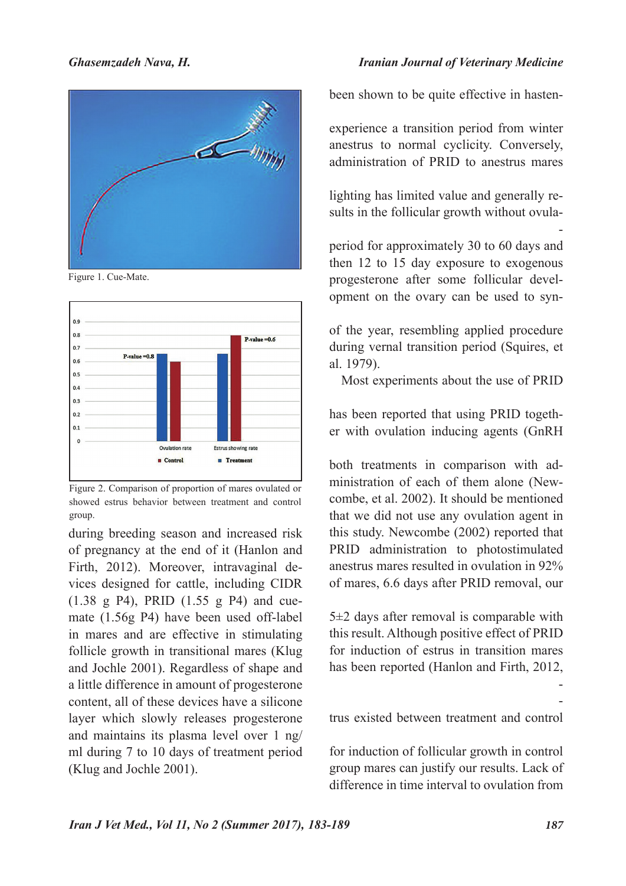

Figure 1. Cue-Mate.



Figure 2. Comparison of proportion of mares ovulated or showed estrus behavior between treatment and control group.

during breeding season and increased risk of pregnancy at the end of it (Hanlon and Firth, 2012). Moreover, intravaginal devices designed for cattle, including CIDR (1.38 g P4), PRID (1.55 g P4) and cuemate (1.56g P4) have been used off-label in mares and are effective in stimulating follicle growth in transitional mares (Klug and Jochle 2001). Regardless of shape and a little difference in amount of progesterone content, all of these devices have a silicone layer which slowly releases progesterone and maintains its plasma level over 1 ng/ ml during 7 to 10 days of treatment period (Klug and Jochle 2001).

Even though artificial photoperiod has

been shown to be quite effective in hastening the first ovulation of the year, mares still experience a transition period from winter anestrus to normal cyclicity. Conversely, administration of PRID to anestrus mares without suffcient pre-treatment artificial lighting has limited value and generally results in the follicular growth without ovulation, hence combination of artificial photoperiod for approximately 30 to 60 days and then 12 to 15 day exposure to exogenous progesterone after some follicular development on the ovary can be used to synchronize and accelerate the first ovulation of the year, resembling applied procedure during vernal transition period (Squires, et al. 1979).

Most experiments about the use of PRID are confined to vernal transition mares. It has been reported that using PRID together with ovulation inducing agents (GnRH analogs and hCG) enhanced effcacy of both treatments in comparison with administration of each of them alone (Newcombe, et al. 2002). It should be mentioned that we did not use any ovulation agent in this study. Newcombe (2002) reported that PRID administration to photostimulated anestrus mares resulted in ovulation in 92% of mares, 6.6 days after PRID removal, our finding about ovulation of 66% of mares,  $5\pm2$  days after removal is comparable with this result. Although positive effect of PRID for induction of estrus in transition mares has been reported (Hanlon and Firth, 2012, Kumar, 2011), based on our finding no significant difference in rate of showing of estrus existed between treatment and control group. Suffcient effect of lighting therapy for induction of follicular growth in control group mares can justify our results. Lack of difference in time interval to ovulation from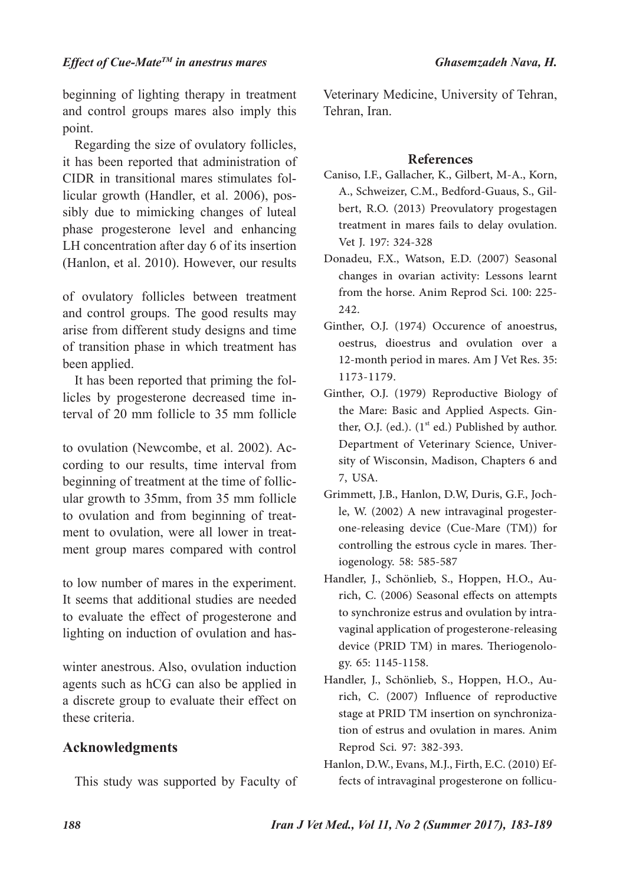beginning of lighting therapy in treatment and control groups mares also imply this point.

Regarding the size of ovulatory follicles, it has been reported that administration of CIDR in transitional mares stimulates follicular growth (Handler, et al. 2006), possibly due to mimicking changes of luteal phase progesterone level and enhancing LH concentration after day 6 of its insertion (Hanlon, et al. 2010). However, our results did not show significant differences in size of ovulatory follicles between treatment and control groups. The good results may arise from different study designs and time of transition phase in which treatment has been applied.

It has been reported that priming the follicles by progesterone decreased time interval of 20 mm follicle to 35 mm follicle (Staempfi, et al.  $2011$ ) and 35 mm follicle to ovulation (Newcombe, et al. 2002). According to our results, time interval from beginning of treatment at the time of follicular growth to 35mm, from 35 mm follicle to ovulation and from beginning of treatment to ovulation, were all lower in treatment group mares compared with control group. Lack of significance is probably due to low number of mares in the experiment. It seems that additional studies are needed to evaluate the effect of progesterone and lighting on induction of ovulation and hastening the first ovulation of the year in early winter anestrous. Also, ovulation induction agents such as hCG can also be applied in a discrete group to evaluate their effect on these criteria.

## **Acknowledgments**

This study was supported by Faculty of

Veterinary Medicine, University of Tehran, Tehran, Iran.

### **References**

- Caniso, I.F., Gallacher, K., Gilbert, M-A., Korn, A., Schweizer, C.M., Bedford-Guaus, S., Gilbert, R.O. (2013) Preovulatory progestagen treatment in mares fails to delay ovulation. Vet J. 197: 324-328
- Donadeu, F.X., Watson, E.D. (2007) Seasonal changes in ovarian activity: Lessons learnt from the horse. Anim Reprod Sci. 100: 225- 242.
- Ginther, O.J. (1974) Occurence of anoestrus, oestrus, dioestrus and ovulation over a 12-month period in mares. Am J Vet Res. 35: 1173-1179.
- Ginther, O.J. (1979) Reproductive Biology of the Mare: Basic and Applied Aspects. Ginther, O.J. (ed.).  $(1<sup>st</sup> ed.)$  Published by author. Department of Veterinary Science, University of Wisconsin, Madison, Chapters 6 and 7, USA.
- Grimmett, J.B., Hanlon, D.W, Duris, G.F., Jochle, W. (2002) A new intravaginal progesterone-releasing device (Cue-Mare (TM)) for controlling the estrous cycle in mares. Theriogenology. 58: 585-587
- Handler, J., Schönlieb, S., Hoppen, H.O., Aurich, C. (2006) Seasonal effects on attempts to synchronize estrus and ovulation by intravaginal application of progesterone-releasing device (PRID TM) in mares. Theriogenology. 65: 1145-1158.
- Handler, J., Schönlieb, S., Hoppen, H.O., Aurich, C. (2007) Influence of reproductive stage at PRID TM insertion on synchronization of estrus and ovulation in mares. Anim Reprod Sci. 97: 382-393.
- Hanlon, D.W., Evans, M.J., Firth, E.C. (2010) Effects of intravaginal progesterone on follicu-